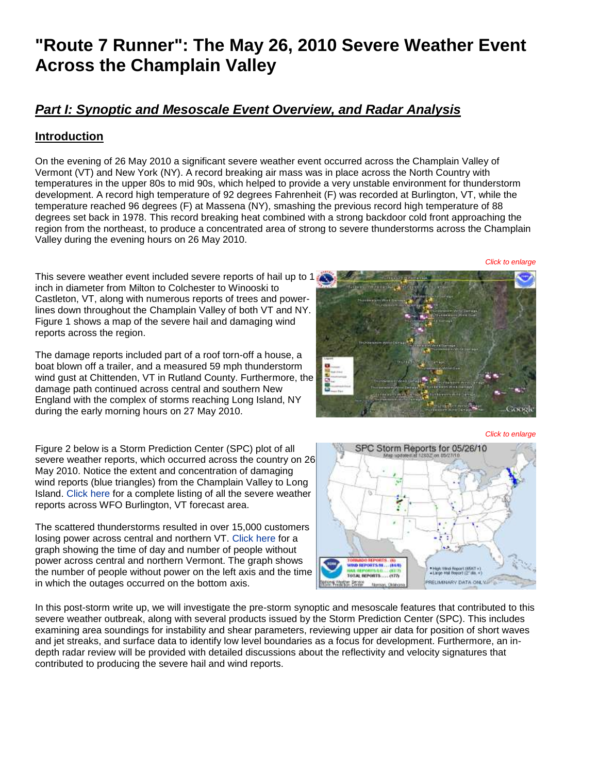# **"Route 7 Runner": The May 26, 2010 Severe Weather Event Across the Champlain Valley**

# *Part I: Synoptic and Mesoscale Event Overview, and Radar Analysis*

## **Introduction**

On the evening of 26 May 2010 a significant severe weather event occurred across the Champlain Valley of Vermont (VT) and New York (NY). A record breaking air mass was in place across the North Country with temperatures in the upper 80s to mid 90s, which helped to provide a very unstable environment for thunderstorm development. A record high temperature of 92 degrees Fahrenheit (F) was recorded at Burlington, VT, while the temperature reached 96 degrees (F) at Massena (NY), smashing the previous record high temperature of 88 degrees set back in 1978. This record breaking heat combined with a strong backdoor cold front approaching the region from the northeast, to produce a concentrated area of strong to severe thunderstorms across the Champlain Valley during the evening hours on 26 May 2010.

*Click to enlarge*

Thissevere weather event included severe reports of hail up to 1 inch in diameter from Milton to Colchester to Winooski to Castleton, VT, along with numerous reports of trees and powerlines down throughout the Champlain Valley of both VT and NY. Figure 1 shows a map of the severe hail and damaging wind reports across the region.

The damage reports included part of a roof torn-off a house, a boat blown off a trailer, and a measured 59 mph thunderstorm wind gust at Chittenden, VT in Rutland County. Furthermore, the damage path continued across central and southern New England with the complex of storms reaching Long Island, NY during the early morning hours on 27 May 2010.

Figure 2 below is a Storm Prediction Center (SPC) plot of all severe weather reports, which occurred across the country on 26 May 2010. Notice the extent and concentration of damaging wind reports (blue triangles) from the Champlain Valley to Long Island. [Click here](http://www.weather.gov/media/btv/events/26May2010/LSR.pdf) for a complete listing of all the severe weather reports across WFO Burlington, VT forecast area.

The scattered thunderstorms resulted in over 15,000 customers losing power across central and northern VT. [Click here](http://www.weather.gov/images/btv/events/26May2010/Totals.png) for a graph showing the time of day and number of people without power across central and northern Vermont. The graph shows the number of people without power on the left axis and the time in which the outages occurred on the bottom axis.

In this post-storm write up, we will investigate the pre-storm synoptic and mesoscale features that contributed to this severe weather outbreak, along with several products issued by the Storm Prediction Center (SPC). This includes examining area soundings for instability and shear parameters, reviewing upper air data for position of short waves and jet streaks, and surface data to identify low level boundaries as a focus for development. Furthermore, an indepth radar review will be provided with detailed discussions about the reflectivity and velocity signatures that contributed to producing the severe hail and wind reports.



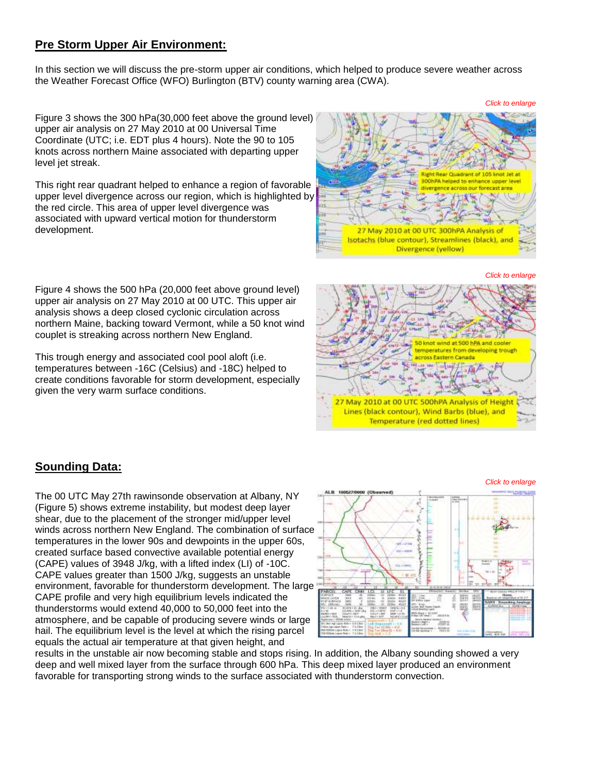#### **Pre Storm Upper Air Environment:**

In this section we will discuss the pre-storm upper air conditions, which helped to produce severe weather across the Weather Forecast Office (WFO) Burlington (BTV) county warning area (CWA).

Figure 3 shows the 300 hPa(30,000 feet above the ground level) upper air analysis on 27 May 2010 at 00 Universal Time Coordinate (UTC; i.e. EDT plus 4 hours). Note the 90 to 105 knots across northern Maine associated with departing upper level jet streak.

This right rear quadrant helped to enhance a region of favorable upper level divergence across our region, which is highlighted by the red circle. This area of upper level divergence was associated with upward vertical motion for thunderstorm development.



*Click to enlarge*

*Click to enlarge*

*Click to enlarge*

Figure 4 shows the 500 hPa (20,000 feet above ground level) upper air analysis on 27 May 2010 at 00 UTC. This upper air analysis shows a deep closed cyclonic circulation across northern Maine, backing toward Vermont, while a 50 knot wind couplet is streaking across northern New England.

This trough energy and associated cool pool aloft (i.e. temperatures between -16C (Celsius) and -18C) helped to create conditions favorable for storm development, especially given the very warm surface conditions.



## **Sounding Data:**

The 00 UTC May 27th rawinsonde observation at Albany, NY (Figure 5) shows extreme instability, but modest deep layer shear, due to the placement of the stronger mid/upper level winds across northern New England. The combination of surface temperatures in the lower 90s and dewpoints in the upper 60s, created surface based convective available potential energy (CAPE) values of 3948 J/kg, with a lifted index (LI) of -10C. CAPE values greater than 1500 J/kg, suggests an unstable environment, favorable for thunderstorm development. The large CAPE profile and very high equilibrium levels indicated the thunderstorms would extend 40,000 to 50,000 feet into the atmosphere, and be capable of producing severe winds or large hail. The equilibrium level is the level at which the rising parcel equals the actual air temperature at that given height, and



results in the unstable air now becoming stable and stops rising. In addition, the Albany sounding showed a very deep and well mixed layer from the surface through 600 hPa. This deep mixed layer produced an environment favorable for transporting strong winds to the surface associated with thunderstorm convection.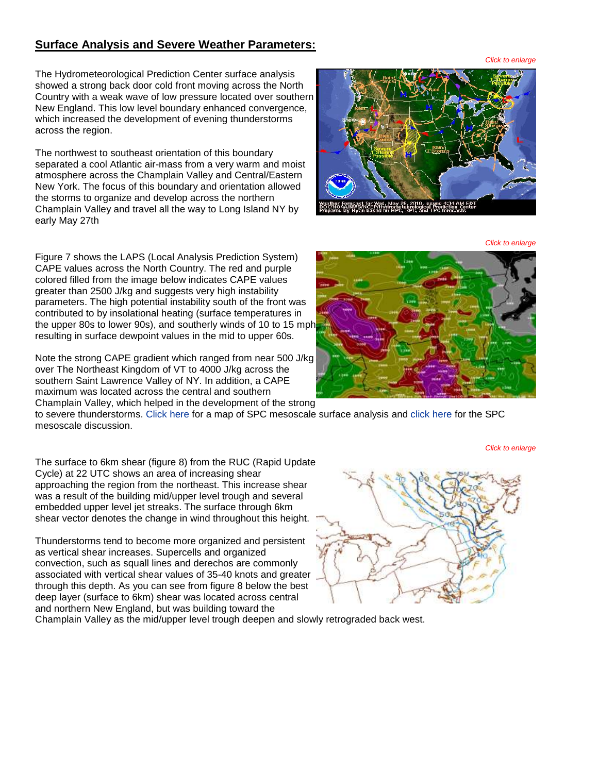#### **Surface Analysis and Severe Weather Parameters:**

The Hydrometeorological Prediction Center surface analysis showed a strong back door cold front moving across the North Country with a weak wave of low pressure located over southern New England. This low level boundary enhanced convergence, which increased the development of evening thunderstorms across the region.

The northwest to southeast orientation of this boundary separated a cool Atlantic air-mass from a very warm and moist atmosphere across the Champlain Valley and Central/Eastern New York. The focus of this boundary and orientation allowed the storms to organize and develop across the northern Champlain Valley and travel all the way to Long Island NY by early May 27th

Figure 7 shows the LAPS (Local Analysis Prediction System) CAPE values across the North Country. The red and purple colored filled from the image below indicates CAPE values greater than 2500 J/kg and suggests very high instability parameters. The high potential instability south of the front was contributed to by insolational heating (surface temperatures in the upper 80s to lower 90s), and southerly winds of 10 to 15 mph resulting in surface dewpoint values in the mid to upper 60s.

Note the strong CAPE gradient which ranged from near 500 J/kg over The Northeast Kingdom of VT to 4000 J/kg across the southern Saint Lawrence Valley of NY. In addition, a CAPE maximum was located across the central and southern Champlain Valley, which helped in the development of the strong

to severe thunderstorms. [Click here](http://www.weather.gov/images/btv/events/26May2010/mcd0716.gif) for a map of SPC mesoscale surface analysis and [click here](javascript:%20openwindow() for the SPC mesoscale discussion.

The surface to 6km shear (figure 8) from the RUC (Rapid Update Cycle) at 22 UTC shows an area of increasing shear approaching the region from the northeast. This increase shear was a result of the building mid/upper level trough and several embedded upper level jet streaks. The surface through 6km shear vector denotes the change in wind throughout this height.

Thunderstorms tend to become more organized and persistent as vertical shear increases. Supercells and organized convection, such as squall lines and derechos are commonly associated with vertical shear values of 35-40 knots and greater through this depth. As you can see from figure 8 below the best deep layer (surface to 6km) shear was located across central and northern New England, but was building toward the

Champlain Valley as the mid/upper level trough deepen and slowly retrograded back west.

*Click to enlarge*





*Click to enlarge*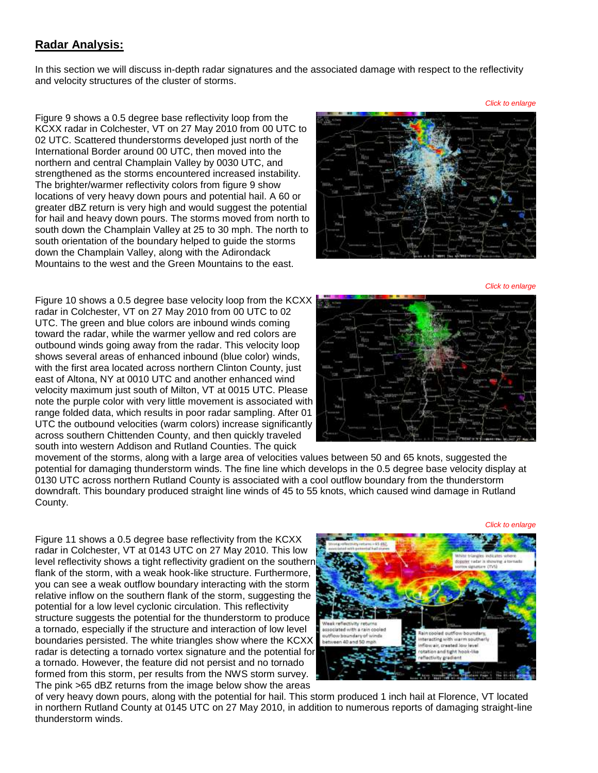#### **Radar Analysis:**

In this section we will discuss in-depth radar signatures and the associated damage with respect to the reflectivity and velocity structures of the cluster of storms.

Figure 9 shows a 0.5 degree base reflectivity loop from the KCXX radar in Colchester, VT on 27 May 2010 from 00 UTC to 02 UTC. Scattered thunderstorms developed just north of the International Border around 00 UTC, then moved into the northern and central Champlain Valley by 0030 UTC, and strengthened as the storms encountered increased instability. The brighter/warmer reflectivity colors from figure 9 show locations of very heavy down pours and potential hail. A 60 or greater dBZ return is very high and would suggest the potential for hail and heavy down pours. The storms moved from north to south down the Champlain Valley at 25 to 30 mph. The north to south orientation of the boundary helped to guide the storms down the Champlain Valley, along with the Adirondack Mountains to the west and the Green Mountains to the east.



*Click to enlarge*

*Click to enlarge*

Figure 10 shows a 0.5 degree base velocity loop from the KCXX radar in Colchester, VT on 27 May 2010 from 00 UTC to 02 UTC. The green and blue colors are inbound winds coming toward the radar, while the warmer yellow and red colors are outbound winds going away from the radar. This velocity loop shows several areas of enhanced inbound (blue color) winds, with the first area located across northern Clinton County, just east of Altona, NY at 0010 UTC and another enhanced wind velocity maximum just south of Milton, VT at 0015 UTC. Please note the purple color with very little movement is associated with range folded data, which results in poor radar sampling. After 01 UTC the outbound velocities (warm colors) increase significantly across southern Chittenden County, and then quickly traveled south into western Addison and Rutland Counties. The quick



movement of the storms, along with a large area of velocities values between 50 and 65 knots, suggested the potential for damaging thunderstorm winds. The fine line which develops in the 0.5 degree base velocity display at 0130 UTC across northern Rutland County is associated with a cool outflow boundary from the thunderstorm downdraft. This boundary produced straight line winds of 45 to 55 knots, which caused wind damage in Rutland County.

*Click to enlarge*

Figure 11 shows a 0.5 degree base reflectivity from the KCXX radar in Colchester, VT at 0143 UTC on 27 May 2010. This low level reflectivity shows a tight reflectivity gradient on the southern flank of the storm, with a weak hook-like structure. Furthermore, you can see a weak outflow boundary interacting with the storm relative inflow on the southern flank of the storm, suggesting the potential for a low level cyclonic circulation. This reflectivity structure suggests the potential for the thunderstorm to produce a tornado, especially if the structure and interaction of low level boundaries persisted. The white triangles show where the KCXX radar is detecting a tornado vortex signature and the potential for a tornado. However, the feature did not persist and no tornado formed from this storm, per results from the NWS storm survey. The pink >65 dBZ returns from the image below show the areas



of very heavy down pours, along with the potential for hail. This storm produced 1 inch hail at Florence, VT located in northern Rutland County at 0145 UTC on 27 May 2010, in addition to numerous reports of damaging straight-line thunderstorm winds.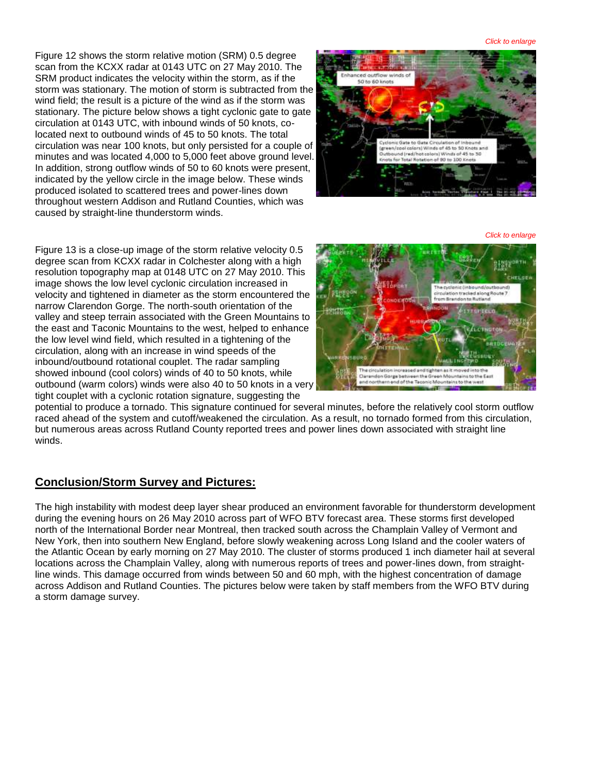*Click to enlarge*

Figure 12 shows the storm relative motion (SRM) 0.5 degree scan from the KCXX radar at 0143 UTC on 27 May 2010. The SRM product indicates the velocity within the storm, as if the storm was stationary. The motion of storm is subtracted from the wind field; the result is a picture of the wind as if the storm was stationary. The picture below shows a tight cyclonic gate to gate circulation at 0143 UTC, with inbound winds of 50 knots, colocated next to outbound winds of 45 to 50 knots. The total circulation was near 100 knots, but only persisted for a couple of minutes and was located 4,000 to 5,000 feet above ground level. In addition, strong outflow winds of 50 to 60 knots were present, indicated by the yellow circle in the image below. These winds produced isolated to scattered trees and power-lines down throughout western Addison and Rutland Counties, which was caused by straight-line thunderstorm winds.



*Click to enlarge*

Figure 13 is a close-up image of the storm relative velocity 0.5 degree scan from KCXX radar in Colchester along with a high resolution topography map at 0148 UTC on 27 May 2010. This image shows the low level cyclonic circulation increased in velocity and tightened in diameter as the storm encountered the narrow Clarendon Gorge. The north-south orientation of the valley and steep terrain associated with the Green Mountains to the east and Taconic Mountains to the west, helped to enhance the low level wind field, which resulted in a tightening of the circulation, along with an increase in wind speeds of the inbound/outbound rotational couplet. The radar sampling showed inbound (cool colors) winds of 40 to 50 knots, while outbound (warm colors) winds were also 40 to 50 knots in a very tight couplet with a cyclonic rotation signature, suggesting the



potential to produce a tornado. This signature continued for several minutes, before the relatively cool storm outflow raced ahead of the system and cutoff/weakened the circulation. As a result, no tornado formed from this circulation, but numerous areas across Rutland County reported trees and power lines down associated with straight line winds.

## **Conclusion/Storm Survey and Pictures:**

The high instability with modest deep layer shear produced an environment favorable for thunderstorm development during the evening hours on 26 May 2010 across part of WFO BTV forecast area. These storms first developed north of the International Border near Montreal, then tracked south across the Champlain Valley of Vermont and New York, then into southern New England, before slowly weakening across Long Island and the cooler waters of the Atlantic Ocean by early morning on 27 May 2010. The cluster of storms produced 1 inch diameter hail at several locations across the Champlain Valley, along with numerous reports of trees and power-lines down, from straightline winds. This damage occurred from winds between 50 and 60 mph, with the highest concentration of damage across Addison and Rutland Counties. The pictures below were taken by staff members from the WFO BTV during a storm damage survey.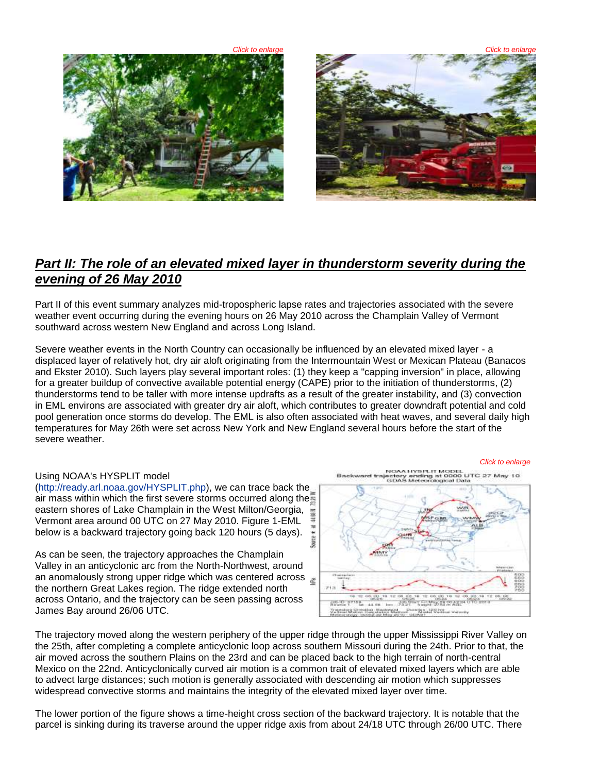



# *Part II: The role of an elevated mixed layer in thunderstorm severity during the evening of 26 May 2010*

Part II of this event summary analyzes mid-tropospheric lapse rates and trajectories associated with the severe weather event occurring during the evening hours on 26 May 2010 across the Champlain Valley of Vermont southward across western New England and across Long Island.

Severe weather events in the North Country can occasionally be influenced by an elevated mixed layer - a displaced layer of relatively hot, dry air aloft originating from the Intermountain West or Mexican Plateau (Banacos and Ekster 2010). Such layers play several important roles: (1) they keep a "capping inversion" in place, allowing for a greater buildup of convective available potential energy (CAPE) prior to the initiation of thunderstorms, (2) thunderstorms tend to be taller with more intense updrafts as a result of the greater instability, and (3) convection in EML environs are associated with greater dry air aloft, which contributes to greater downdraft potential and cold pool generation once storms do develop. The EML is also often associated with heat waves, and several daily high temperatures for May 26th were set across New York and New England several hours before the start of the severe weather.

#### Using NOAA's HYSPLIT model

[\(http://ready.arl.noaa.gov/HYSPLIT.php\)](http://ready.arl.noaa.gov/HYSPLIT.php), we can trace back the air mass within which the first severe storms occurred along the eastern shores of Lake Champlain in the West Milton/Georgia, Vermont area around 00 UTC on 27 May 2010. Figure 1-EML below is a backward trajectory going back 120 hours (5 days).

As can be seen, the trajectory approaches the Champlain Valley in an anticyclonic arc from the North-Northwest, around an anomalously strong upper ridge which was centered across the northern Great Lakes region. The ridge extended north across Ontario, and the trajectory can be seen passing across James Bay around 26/06 UTC.





The trajectory moved along the western periphery of the upper ridge through the upper Mississippi River Valley on the 25th, after completing a complete anticyclonic loop across southern Missouri during the 24th. Prior to that, the air moved across the southern Plains on the 23rd and can be placed back to the high terrain of north-central Mexico on the 22nd. Anticyclonically curved air motion is a common trait of elevated mixed layers which are able to advect large distances; such motion is generally associated with descending air motion which suppresses widespread convective storms and maintains the integrity of the elevated mixed layer over time.

The lower portion of the figure shows a time-height cross section of the backward trajectory. It is notable that the parcel is sinking during its traverse around the upper ridge axis from about 24/18 UTC through 26/00 UTC. There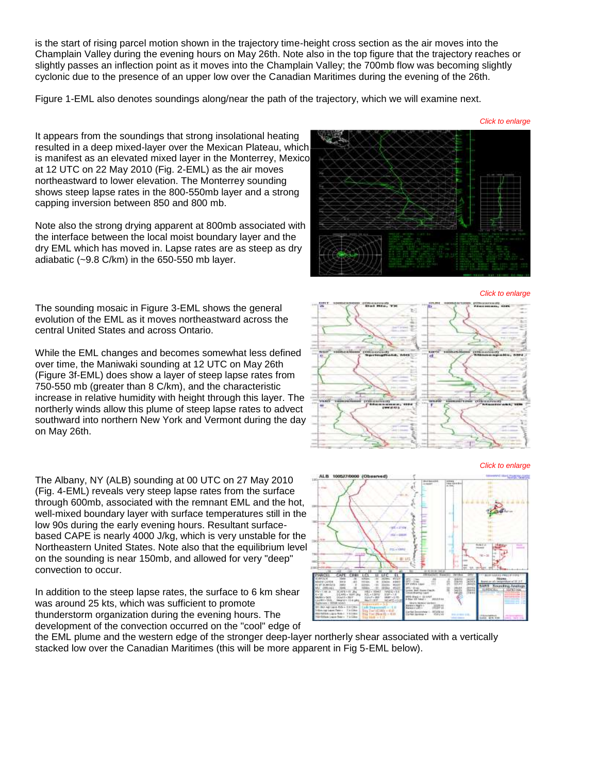is the start of rising parcel motion shown in the trajectory time-height cross section as the air moves into the Champlain Valley during the evening hours on May 26th. Note also in the top figure that the trajectory reaches or slightly passes an inflection point as it moves into the Champlain Valley; the 700mb flow was becoming slightly cyclonic due to the presence of an upper low over the Canadian Maritimes during the evening of the 26th.

Figure 1-EML also denotes soundings along/near the path of the trajectory, which we will examine next.

It appears from the soundings that strong insolational heating resulted in a deep mixed-layer over the Mexican Plateau, which is manifest as an elevated mixed layer in the Monterrey, Mexico at 12 UTC on 22 May 2010 (Fig. 2-EML) as the air moves northeastward to lower elevation. The Monterrey sounding shows steep lapse rates in the 800-550mb layer and a strong capping inversion between 850 and 800 mb.

Note also the strong drying apparent at 800mb associated with the interface between the local moist boundary layer and the dry EML which has moved in. Lapse rates are as steep as dry adiabatic (~9.8 C/km) in the 650-550 mb layer.

The sounding mosaic in Figure 3-EML shows the general evolution of the EML as it moves northeastward across the central United States and across Ontario.

While the EML changes and becomes somewhat less defined over time, the Maniwaki sounding at 12 UTC on May 26th (Figure 3f-EML) does show a layer of steep lapse rates from 750-550 mb (greater than 8 C/km), and the characteristic increase in relative humidity with height through this layer. The northerly winds allow this plume of steep lapse rates to advect southward into northern New York and Vermont during the day on May 26th.

The Albany, NY (ALB) sounding at 00 UTC on 27 May 2010 (Fig. 4-EML) reveals very steep lapse rates from the surface through 600mb, associated with the remnant EML and the hot, well-mixed boundary layer with surface temperatures still in the low 90s during the early evening hours. Resultant surfacebased CAPE is nearly 4000 J/kg, which is very unstable for the Northeastern United States. Note also that the equilibrium level on the sounding is near 150mb, and allowed for very "deep" convection to occur.

In addition to the steep lapse rates, the surface to 6 km shear was around 25 kts, which was sufficient to promote thunderstorm organization during the evening hours. The development of the convection occurred on the "cool" edge of

the EML plume and the western edge of the stronger deep-layer northerly shear associated with a vertically stacked low over the Canadian Maritimes (this will be more apparent in Fig 5-EML below).









*Click to enlarge*

*Click to enlarge*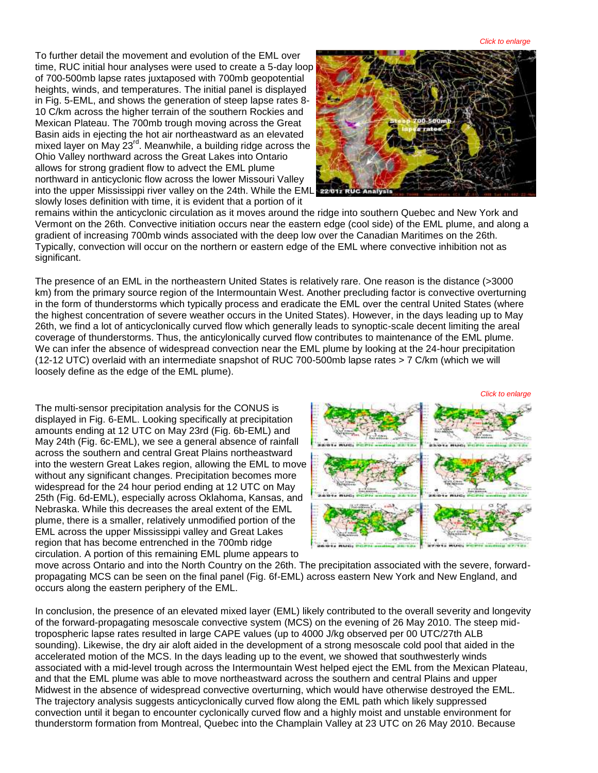*Click to enlarge*

To further detail the movement and evolution of the EML over time, RUC initial hour analyses were used to create a 5-day loop of 700-500mb lapse rates juxtaposed with 700mb geopotential heights, winds, and temperatures. The initial panel is displayed in Fig. 5-EML, and shows the generation of steep lapse rates 8- 10 C/km across the higher terrain of the southern Rockies and Mexican Plateau. The 700mb trough moving across the Great Basin aids in ejecting the hot air northeastward as an elevated mixed layer on May 23<sup>rd</sup>. Meanwhile, a building ridge across the Ohio Valley northward across the Great Lakes into Ontario allows for strong gradient flow to advect the EML plume northward in anticyclonic flow across the lower Missouri Valley into the upper Mississippi river valley on the 24th. While the EML slowly loses definition with time, it is evident that a portion of it



remains within the anticyclonic circulation as it moves around the ridge into southern Quebec and New York and Vermont on the 26th. Convective initiation occurs near the eastern edge (cool side) of the EML plume, and along a gradient of increasing 700mb winds associated with the deep low over the Canadian Maritimes on the 26th. Typically, convection will occur on the northern or eastern edge of the EML where convective inhibition not as significant.

The presence of an EML in the northeastern United States is relatively rare. One reason is the distance (>3000 km) from the primary source region of the Intermountain West. Another precluding factor is convective overturning in the form of thunderstorms which typically process and eradicate the EML over the central United States (where the highest concentration of severe weather occurs in the United States). However, in the days leading up to May 26th, we find a lot of anticyclonically curved flow which generally leads to synoptic-scale decent limiting the areal coverage of thunderstorms. Thus, the anticylonically curved flow contributes to maintenance of the EML plume. We can infer the absence of widespread convection near the EML plume by looking at the 24-hour precipitation (12-12 UTC) overlaid with an intermediate snapshot of RUC 700-500mb lapse rates > 7 C/km (which we will loosely define as the edge of the EML plume).

The multi-sensor precipitation analysis for the CONUS is displayed in Fig. 6-EML. Looking specifically at precipitation amounts ending at 12 UTC on May 23rd (Fig. 6b-EML) and May 24th (Fig. 6c-EML), we see a general absence of rainfall across the southern and central Great Plains northeastward into the western Great Lakes region, allowing the EML to move without any significant changes. Precipitation becomes more widespread for the 24 hour period ending at 12 UTC on May 25th (Fig. 6d-EML), especially across Oklahoma, Kansas, and Nebraska. While this decreases the areal extent of the EML plume, there is a smaller, relatively unmodified portion of the EML across the upper Mississippi valley and Great Lakes region that has become entrenched in the 700mb ridge circulation. A portion of this remaining EML plume appears to



move across Ontario and into the North Country on the 26th. The precipitation associated with the severe, forwardpropagating MCS can be seen on the final panel (Fig. 6f-EML) across eastern New York and New England, and occurs along the eastern periphery of the EML.

In conclusion, the presence of an elevated mixed layer (EML) likely contributed to the overall severity and longevity of the forward-propagating mesoscale convective system (MCS) on the evening of 26 May 2010. The steep midtropospheric lapse rates resulted in large CAPE values (up to 4000 J/kg observed per 00 UTC/27th ALB sounding). Likewise, the dry air aloft aided in the development of a strong mesoscale cold pool that aided in the accelerated motion of the MCS. In the days leading up to the event, we showed that southwesterly winds associated with a mid-level trough across the Intermountain West helped eject the EML from the Mexican Plateau, and that the EML plume was able to move northeastward across the southern and central Plains and upper Midwest in the absence of widespread convective overturning, which would have otherwise destroyed the EML. The trajectory analysis suggests anticyclonically curved flow along the EML path which likely suppressed convection until it began to encounter cyclonically curved flow and a highly moist and unstable environment for thunderstorm formation from Montreal, Quebec into the Champlain Valley at 23 UTC on 26 May 2010. Because